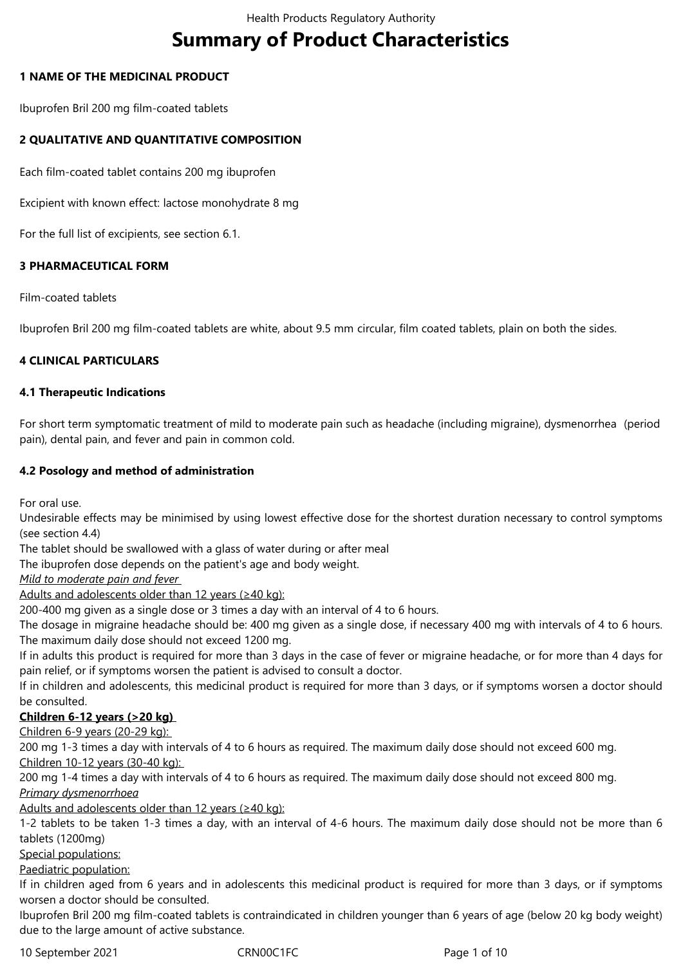# **Summary of Product Characteristics**

## **1 NAME OF THE MEDICINAL PRODUCT**

Ibuprofen Bril 200 mg film-coated tablets

## **2 QUALITATIVE AND QUANTITATIVE COMPOSITION**

Each film-coated tablet contains 200 mg ibuprofen

Excipient with known effect: lactose monohydrate 8 mg

For the full list of excipients, see section 6.1.

## **3 PHARMACEUTICAL FORM**

Film-coated tablets

Ibuprofen Bril 200 mg film-coated tablets are white, about 9.5 mm circular, film coated tablets, plain on both the sides.

## **4 CLINICAL PARTICULARS**

#### **4.1 Therapeutic Indications**

For short term symptomatic treatment of mild to moderate pain such as headache (including migraine), dysmenorrhea (period pain), dental pain, and fever and pain in common cold.

## **4.2 Posology and method of administration**

For oral use.

Undesirable effects may be minimised by using lowest effective dose for the shortest duration necessary to control symptoms (see section 4.4)

The tablet should be swallowed with a glass of water during or after meal

The ibuprofen dose depends on the patient's age and body weight.

*Mild to moderate pain and fever* 

Adults and adolescents older than 12 years (≥40 kg):

200-400 mg given as a single dose or 3 times a day with an interval of 4 to 6 hours.

The dosage in migraine headache should be: 400 mg given as a single dose, if necessary 400 mg with intervals of 4 to 6 hours. The maximum daily dose should not exceed 1200 mg.

If in adults this product is required for more than 3 days in the case of fever or migraine headache, or for more than 4 days for pain relief, or if symptoms worsen the patient is advised to consult a doctor.

If in children and adolescents, this medicinal product is required for more than 3 days, or if symptoms worsen a doctor should be consulted.

# **Children 6-12 years (>20 kg)**

Children 6-9 years (20-29 kg):

200 mg 1-3 times a day with intervals of 4 to 6 hours as required. The maximum daily dose should not exceed 600 mg. Children 10-12 years (30-40 kg):

200 mg 1-4 times a day with intervals of 4 to 6 hours as required. The maximum daily dose should not exceed 800 mg.

*Primary dysmenorrhoea*

Adults and adolescents older than 12 years (≥40 kg):

1-2 tablets to be taken 1-3 times a day, with an interval of 4-6 hours. The maximum daily dose should not be more than 6 tablets (1200mg)

Special populations:

Paediatric population:

If in children aged from 6 years and in adolescents this medicinal product is required for more than 3 days, or if symptoms worsen a doctor should be consulted.

Ibuprofen Bril 200 mg film-coated tablets is contraindicated in children younger than 6 years of age (below 20 kg body weight) due to the large amount of active substance.

10 September 2021 CRN00C1FC Page 1 of 10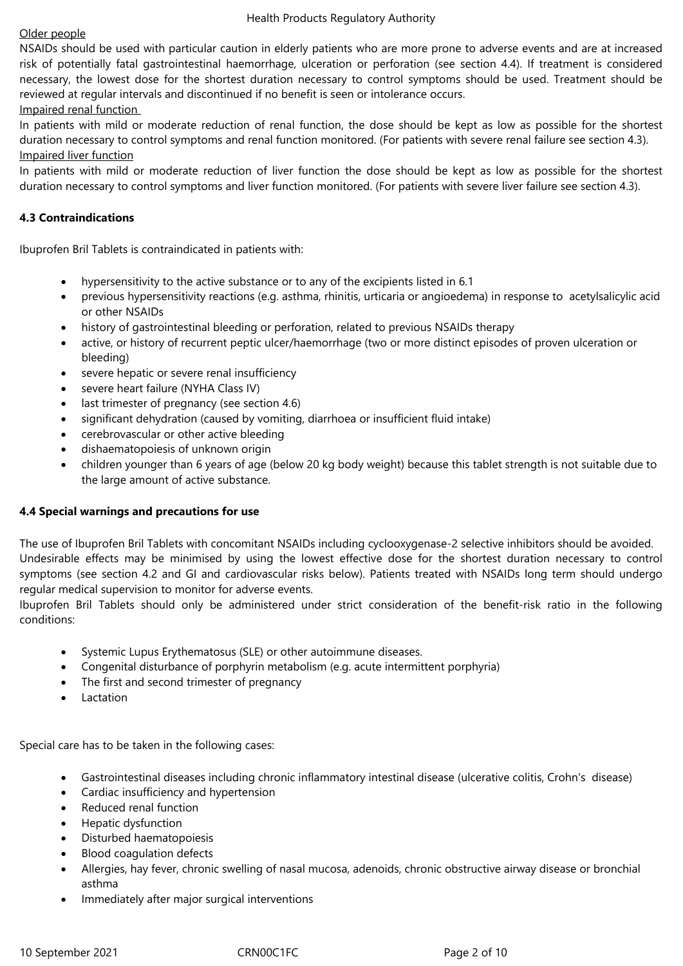## Older people

NSAIDs should be used with particular caution in elderly patients who are more prone to adverse events and are at increased risk of potentially fatal gastrointestinal haemorrhage, ulceration or perforation (see section 4.4). If treatment is considered necessary, the lowest dose for the shortest duration necessary to control symptoms should be used. Treatment should be reviewed at regular intervals and discontinued if no benefit is seen or intolerance occurs. Impaired renal function

In patients with mild or moderate reduction of renal function, the dose should be kept as low as possible for the shortest duration necessary to control symptoms and renal function monitored. (For patients with severe renal failure see section 4.3). Impaired liver function

In patients with mild or moderate reduction of liver function the dose should be kept as low as possible for the shortest duration necessary to control symptoms and liver function monitored. (For patients with severe liver failure see section 4.3).

# **4.3 Contraindications**

Ibuprofen Bril Tablets is contraindicated in patients with:

- hypersensitivity to the active substance or to any of the excipients listed in 6.1
- previous hypersensitivity reactions (e.g. asthma, rhinitis, urticaria or angioedema) in response to acetylsalicylic acid or other NSAIDs
- history of gastrointestinal bleeding or perforation, related to previous NSAIDs therapy
- active, or history of recurrent peptic ulcer/haemorrhage (two or more distinct episodes of proven ulceration or bleeding)
- severe hepatic or severe renal insufficiency
- severe heart failure (NYHA Class IV)
- last trimester of pregnancy (see section 4.6)
- significant dehydration (caused by vomiting, diarrhoea or insufficient fluid intake)
- cerebrovascular or other active bleeding
- dishaematopoiesis of unknown origin
- children younger than 6 years of age (below 20 kg body weight) because this tablet strength is not suitable due to the large amount of active substance.

# **4.4 Special warnings and precautions for use**

The use of Ibuprofen Bril Tablets with concomitant NSAIDs including cyclooxygenase-2 selective inhibitors should be avoided. Undesirable effects may be minimised by using the lowest effective dose for the shortest duration necessary to control symptoms (see section 4.2 and GI and cardiovascular risks below). Patients treated with NSAIDs long term should undergo regular medical supervision to monitor for adverse events.

Ibuprofen Bril Tablets should only be administered under strict consideration of the benefit-risk ratio in the following conditions:

- Systemic Lupus Erythematosus (SLE) or other autoimmune diseases.
- Congenital disturbance of porphyrin metabolism (e.g. acute intermittent porphyria)
- The first and second trimester of pregnancy
- Lactation

Special care has to be taken in the following cases:

- Gastrointestinal diseases including chronic inflammatory intestinal disease (ulcerative colitis, Crohn's disease)
- Cardiac insufficiency and hypertension
- Reduced renal function
- Hepatic dysfunction
- Disturbed haematopoiesis
- Blood coagulation defects
- Allergies, hay fever, chronic swelling of nasal mucosa, adenoids, chronic obstructive airway disease or bronchial asthma
- Immediately after major surgical interventions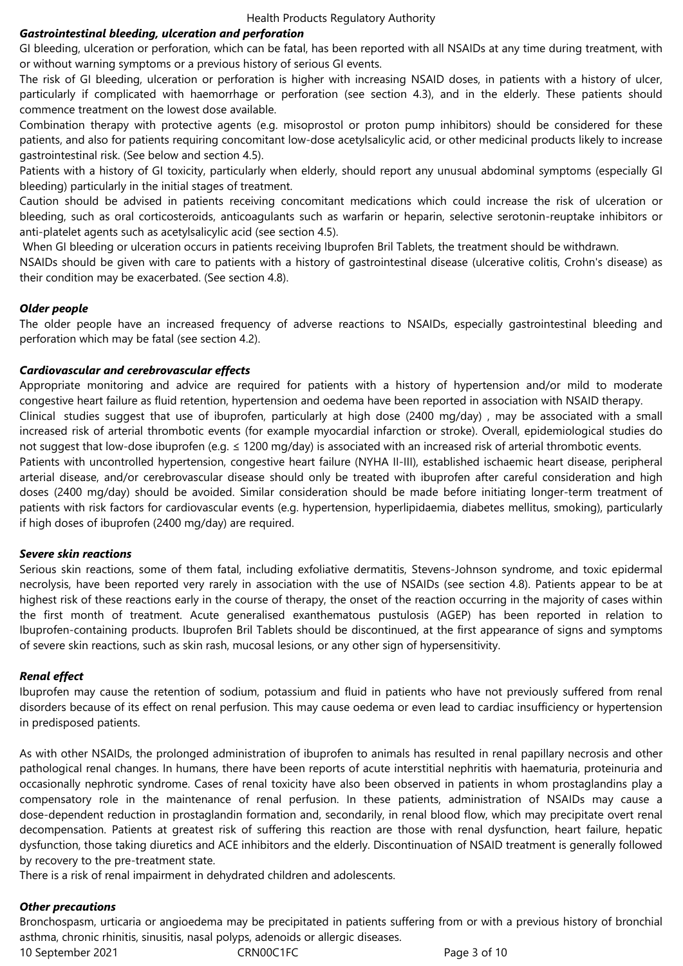#### *Gastrointestinal bleeding, ulceration and perforation*

GI bleeding, ulceration or perforation, which can be fatal, has been reported with all NSAIDs at any time during treatment, with or without warning symptoms or a previous history of serious GI events.

The risk of GI bleeding, ulceration or perforation is higher with increasing NSAID doses, in patients with a history of ulcer, particularly if complicated with haemorrhage or perforation (see section 4.3), and in the elderly. These patients should commence treatment on the lowest dose available.

Combination therapy with protective agents (e.g. misoprostol or proton pump inhibitors) should be considered for these patients, and also for patients requiring concomitant low-dose acetylsalicylic acid, or other medicinal products likely to increase gastrointestinal risk. (See below and section 4.5).

Patients with a history of GI toxicity, particularly when elderly, should report any unusual abdominal symptoms (especially GI bleeding) particularly in the initial stages of treatment.

Caution should be advised in patients receiving concomitant medications which could increase the risk of ulceration or bleeding, such as oral corticosteroids, anticoagulants such as warfarin or heparin, selective serotonin-reuptake inhibitors or anti-platelet agents such as acetylsalicylic acid (see section 4.5).

When GI bleeding or ulceration occurs in patients receiving Ibuprofen Bril Tablets, the treatment should be withdrawn.

NSAIDs should be given with care to patients with a history of gastrointestinal disease (ulcerative colitis, Crohn's disease) as their condition may be exacerbated. (See section 4.8).

#### *Older people*

The older people have an increased frequency of adverse reactions to NSAIDs, especially gastrointestinal bleeding and perforation which may be fatal (see section 4.2).

#### *Cardiovascular and cerebrovascular effects*

Appropriate monitoring and advice are required for patients with a history of hypertension and/or mild to moderate congestive heart failure as fluid retention, hypertension and oedema have been reported in association with NSAID therapy. Clinical studies suggest that use of ibuprofen, particularly at high dose (2400 mg/day) , may be associated with a small increased risk of arterial thrombotic events (for example myocardial infarction or stroke). Overall, epidemiological studies do not suggest that low-dose ibuprofen (e.g. ≤ 1200 mg/day) is associated with an increased risk of arterial thrombotic events. Patients with uncontrolled hypertension, congestive heart failure (NYHA II-III), established ischaemic heart disease, peripheral arterial disease, and/or cerebrovascular disease should only be treated with ibuprofen after careful consideration and high doses (2400 mg/day) should be avoided. Similar consideration should be made before initiating longer-term treatment of patients with risk factors for cardiovascular events (e.g. hypertension, hyperlipidaemia, diabetes mellitus, smoking), particularly if high doses of ibuprofen (2400 mg/day) are required.

#### *Severe skin reactions*

Serious skin reactions, some of them fatal, including exfoliative dermatitis, Stevens-Johnson syndrome, and toxic epidermal necrolysis, have been reported very rarely in association with the use of NSAIDs (see section 4.8). Patients appear to be at highest risk of these reactions early in the course of therapy, the onset of the reaction occurring in the majority of cases within the first month of treatment. Acute generalised exanthematous pustulosis (AGEP) has been reported in relation to Ibuprofen-containing products. Ibuprofen Bril Tablets should be discontinued, at the first appearance of signs and symptoms of severe skin reactions, such as skin rash, mucosal lesions, or any other sign of hypersensitivity.

#### *Renal effect*

Ibuprofen may cause the retention of sodium, potassium and fluid in patients who have not previously suffered from renal disorders because of its effect on renal perfusion. This may cause oedema or even lead to cardiac insufficiency or hypertension in predisposed patients.

As with other NSAIDs, the prolonged administration of ibuprofen to animals has resulted in renal papillary necrosis and other pathological renal changes. In humans, there have been reports of acute interstitial nephritis with haematuria, proteinuria and occasionally nephrotic syndrome. Cases of renal toxicity have also been observed in patients in whom prostaglandins play a compensatory role in the maintenance of renal perfusion. In these patients, administration of NSAIDs may cause a dose-dependent reduction in prostaglandin formation and, secondarily, in renal blood flow, which may precipitate overt renal decompensation. Patients at greatest risk of suffering this reaction are those with renal dysfunction, heart failure, hepatic dysfunction, those taking diuretics and ACE inhibitors and the elderly. Discontinuation of NSAID treatment is generally followed by recovery to the pre-treatment state.

There is a risk of renal impairment in dehydrated children and adolescents.

#### *Other precautions*

Bronchospasm, urticaria or angioedema may be precipitated in patients suffering from or with a previous history of bronchial asthma, chronic rhinitis, sinusitis, nasal polyps, adenoids or allergic diseases.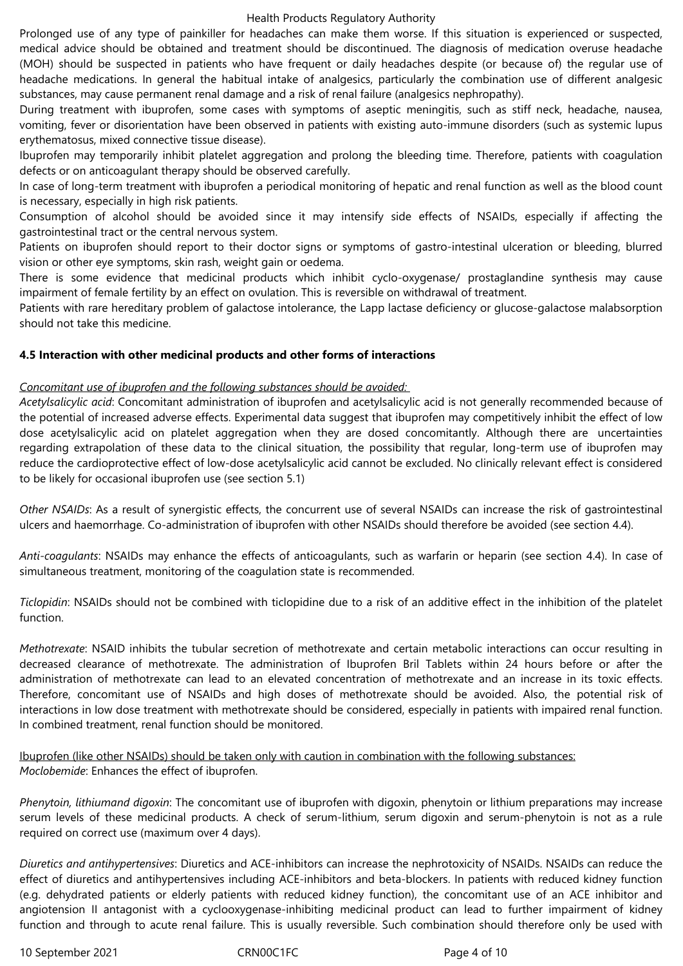Prolonged use of any type of painkiller for headaches can make them worse. If this situation is experienced or suspected, medical advice should be obtained and treatment should be discontinued. The diagnosis of medication overuse headache (MOH) should be suspected in patients who have frequent or daily headaches despite (or because of) the regular use of headache medications. In general the habitual intake of analgesics, particularly the combination use of different analgesic substances, may cause permanent renal damage and a risk of renal failure (analgesics nephropathy).

During treatment with ibuprofen, some cases with symptoms of aseptic meningitis, such as stiff neck, headache, nausea, vomiting, fever or disorientation have been observed in patients with existing auto-immune disorders (such as systemic lupus erythematosus, mixed connective tissue disease).

Ibuprofen may temporarily inhibit platelet aggregation and prolong the bleeding time. Therefore, patients with coagulation defects or on anticoagulant therapy should be observed carefully.

In case of long-term treatment with ibuprofen a periodical monitoring of hepatic and renal function as well as the blood count is necessary, especially in high risk patients.

Consumption of alcohol should be avoided since it may intensify side effects of NSAIDs, especially if affecting the gastrointestinal tract or the central nervous system.

Patients on ibuprofen should report to their doctor signs or symptoms of gastro-intestinal ulceration or bleeding, blurred vision or other eye symptoms, skin rash, weight gain or oedema.

There is some evidence that medicinal products which inhibit cyclo-oxygenase/ prostaglandine synthesis may cause impairment of female fertility by an effect on ovulation. This is reversible on withdrawal of treatment.

Patients with rare hereditary problem of galactose intolerance, the Lapp lactase deficiency or glucose-galactose malabsorption should not take this medicine.

## **4.5 Interaction with other medicinal products and other forms of interactions**

## *Concomitant use of ibuprofen and the following substances should be avoided:*

*Acetylsalicylic acid*: Concomitant administration of ibuprofen and acetylsalicylic acid is not generally recommended because of the potential of increased adverse effects. Experimental data suggest that ibuprofen may competitively inhibit the effect of low dose acetylsalicylic acid on platelet aggregation when they are dosed concomitantly. Although there are uncertainties regarding extrapolation of these data to the clinical situation, the possibility that regular, long-term use of ibuprofen may reduce the cardioprotective effect of low-dose acetylsalicylic acid cannot be excluded. No clinically relevant effect is considered to be likely for occasional ibuprofen use (see section 5.1)

*Other NSAIDs*: As a result of synergistic effects, the concurrent use of several NSAIDs can increase the risk of gastrointestinal ulcers and haemorrhage. Co-administration of ibuprofen with other NSAIDs should therefore be avoided (see section 4.4).

*Anti-coagulants*: NSAIDs may enhance the effects of anticoagulants, such as warfarin or heparin (see section 4.4). In case of simultaneous treatment, monitoring of the coagulation state is recommended.

*Ticlopidin*: NSAIDs should not be combined with ticlopidine due to a risk of an additive effect in the inhibition of the platelet function.

*Methotrexate*: NSAID inhibits the tubular secretion of methotrexate and certain metabolic interactions can occur resulting in decreased clearance of methotrexate. The administration of Ibuprofen Bril Tablets within 24 hours before or after the administration of methotrexate can lead to an elevated concentration of methotrexate and an increase in its toxic effects. Therefore, concomitant use of NSAIDs and high doses of methotrexate should be avoided. Also, the potential risk of interactions in low dose treatment with methotrexate should be considered, especially in patients with impaired renal function. In combined treatment, renal function should be monitored.

Ibuprofen (like other NSAIDs) should be taken only with caution in combination with the following substances: *Moclobemide*: Enhances the effect of ibuprofen.

*Phenytoin, lithiumand digoxin*: The concomitant use of ibuprofen with digoxin, phenytoin or lithium preparations may increase serum levels of these medicinal products. A check of serum-lithium, serum digoxin and serum-phenytoin is not as a rule required on correct use (maximum over 4 days).

*Diuretics and antihypertensives*: Diuretics and ACE-inhibitors can increase the nephrotoxicity of NSAIDs. NSAIDs can reduce the effect of diuretics and antihypertensives including ACE-inhibitors and beta-blockers. In patients with reduced kidney function (e.g. dehydrated patients or elderly patients with reduced kidney function), the concomitant use of an ACE inhibitor and angiotension II antagonist with a cyclooxygenase-inhibiting medicinal product can lead to further impairment of kidney function and through to acute renal failure. This is usually reversible. Such combination should therefore only be used with

10 September 2021 CRN00C1FC Page 4 of 10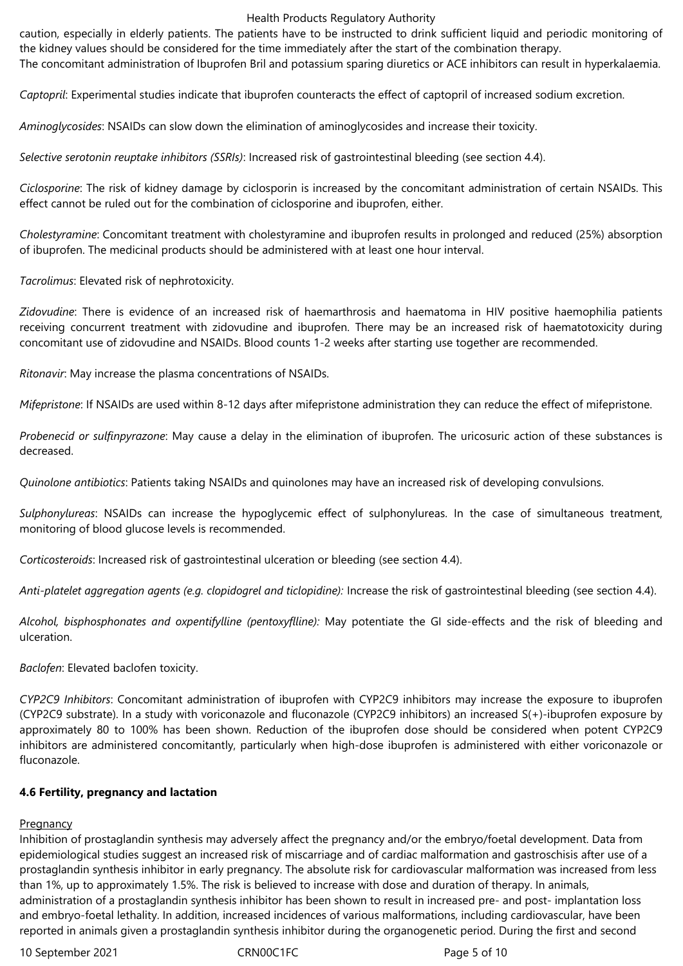caution, especially in elderly patients. The patients have to be instructed to drink sufficient liquid and periodic monitoring of the kidney values should be considered for the time immediately after the start of the combination therapy.

The concomitant administration of Ibuprofen Bril and potassium sparing diuretics or ACE inhibitors can result in hyperkalaemia.

*Captopril*: Experimental studies indicate that ibuprofen counteracts the effect of captopril of increased sodium excretion.

*Aminoglycosides*: NSAIDs can slow down the elimination of aminoglycosides and increase their toxicity.

*Selective serotonin reuptake inhibitors (SSRIs)*: Increased risk of gastrointestinal bleeding (see section 4.4).

*Ciclosporine*: The risk of kidney damage by ciclosporin is increased by the concomitant administration of certain NSAIDs. This effect cannot be ruled out for the combination of ciclosporine and ibuprofen, either.

*Cholestyramine*: Concomitant treatment with cholestyramine and ibuprofen results in prolonged and reduced (25%) absorption of ibuprofen. The medicinal products should be administered with at least one hour interval.

*Tacrolimus*: Elevated risk of nephrotoxicity.

*Zidovudine*: There is evidence of an increased risk of haemarthrosis and haematoma in HIV positive haemophilia patients receiving concurrent treatment with zidovudine and ibuprofen. There may be an increased risk of haematotoxicity during concomitant use of zidovudine and NSAIDs. Blood counts 1-2 weeks after starting use together are recommended.

*Ritonavir*: May increase the plasma concentrations of NSAIDs.

*Mifepristone*: If NSAIDs are used within 8-12 days after mifepristone administration they can reduce the effect of mifepristone.

*Probenecid or sulfinpyrazone*: May cause a delay in the elimination of ibuprofen. The uricosuric action of these substances is decreased.

*Quinolone antibiotics*: Patients taking NSAIDs and quinolones may have an increased risk of developing convulsions.

*Sulphonylureas*: NSAIDs can increase the hypoglycemic effect of sulphonylureas. In the case of simultaneous treatment, monitoring of blood glucose levels is recommended.

*Corticosteroids*: Increased risk of gastrointestinal ulceration or bleeding (see section 4.4).

*Anti-platelet aggregation agents (e.g. clopidogrel and ticlopidine):* Increase the risk of gastrointestinal bleeding (see section 4.4).

*Alcohol, bisphosphonates and oxpentifylline (pentoxyflline):* May potentiate the GI side-effects and the risk of bleeding and ulceration.

*Baclofen*: Elevated baclofen toxicity.

*CYP2C9 Inhibitors*: Concomitant administration of ibuprofen with CYP2C9 inhibitors may increase the exposure to ibuprofen (CYP2C9 substrate). In a study with voriconazole and fluconazole (CYP2C9 inhibitors) an increased S(+)-ibuprofen exposure by approximately 80 to 100% has been shown. Reduction of the ibuprofen dose should be considered when potent CYP2C9 inhibitors are administered concomitantly, particularly when high-dose ibuprofen is administered with either voriconazole or fluconazole.

#### **4.6 Fertility, pregnancy and lactation**

# **Pregnancy**

Inhibition of prostaglandin synthesis may adversely affect the pregnancy and/or the embryo/foetal development. Data from epidemiological studies suggest an increased risk of miscarriage and of cardiac malformation and gastroschisis after use of a prostaglandin synthesis inhibitor in early pregnancy. The absolute risk for cardiovascular malformation was increased from less than 1%, up to approximately 1.5%. The risk is believed to increase with dose and duration of therapy. In animals, administration of a prostaglandin synthesis inhibitor has been shown to result in increased pre- and post- implantation loss and embryo-foetal lethality. In addition, increased incidences of various malformations, including cardiovascular, have been reported in animals given a prostaglandin synthesis inhibitor during the organogenetic period. During the first and second

10 September 2021 CRN00C1FC Page 5 of 10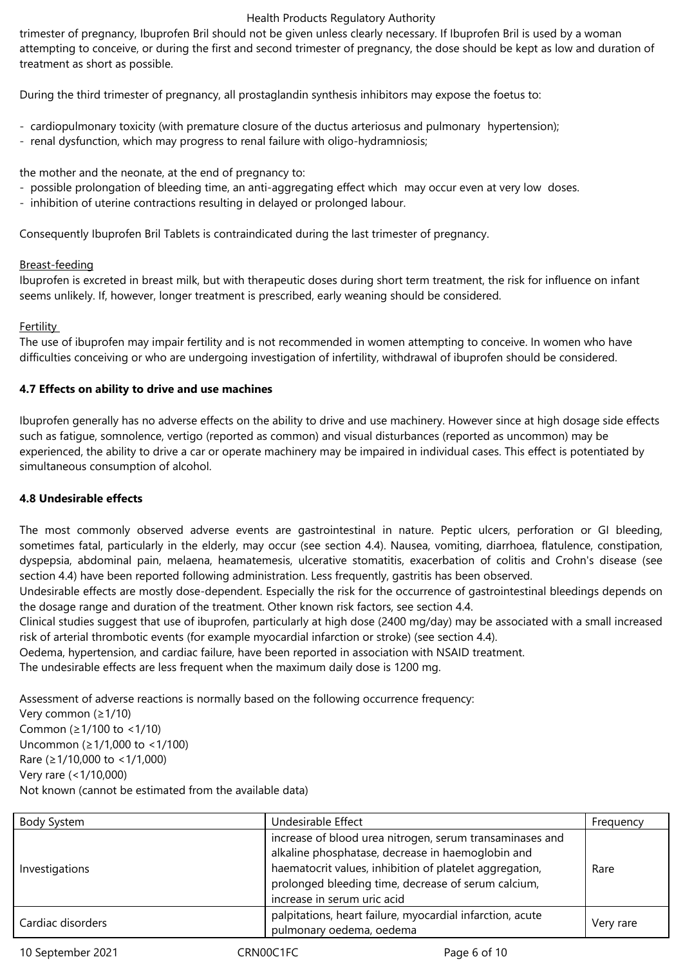trimester of pregnancy, Ibuprofen Bril should not be given unless clearly necessary. If Ibuprofen Bril is used by a woman attempting to conceive, or during the first and second trimester of pregnancy, the dose should be kept as low and duration of treatment as short as possible.

During the third trimester of pregnancy, all prostaglandin synthesis inhibitors may expose the foetus to:

- cardiopulmonary toxicity (with premature closure of the ductus arteriosus and pulmonary hypertension);
- renal dysfunction, which may progress to renal failure with oligo-hydramniosis;

the mother and the neonate, at the end of pregnancy to:

- possible prolongation of bleeding time, an anti-aggregating effect which may occur even at very low doses.
- inhibition of uterine contractions resulting in delayed or prolonged labour.

Consequently Ibuprofen Bril Tablets is contraindicated during the last trimester of pregnancy.

## Breast-feeding

Ibuprofen is excreted in breast milk, but with therapeutic doses during short term treatment, the risk for influence on infant seems unlikely. If, however, longer treatment is prescribed, early weaning should be considered.

## **Fertility**

The use of ibuprofen may impair fertility and is not recommended in women attempting to conceive. In women who have difficulties conceiving or who are undergoing investigation of infertility, withdrawal of ibuprofen should be considered.

# **4.7 Effects on ability to drive and use machines**

Ibuprofen generally has no adverse effects on the ability to drive and use machinery. However since at high dosage side effects such as fatigue, somnolence, vertigo (reported as common) and visual disturbances (reported as uncommon) may be experienced, the ability to drive a car or operate machinery may be impaired in individual cases. This effect is potentiated by simultaneous consumption of alcohol.

# **4.8 Undesirable effects**

The most commonly observed adverse events are gastrointestinal in nature. Peptic ulcers, perforation or GI bleeding, sometimes fatal, particularly in the elderly, may occur (see section 4.4). Nausea, vomiting, diarrhoea, flatulence, constipation, dyspepsia, abdominal pain, melaena, heamatemesis, ulcerative stomatitis, exacerbation of colitis and Crohn's disease (see section 4.4) have been reported following administration. Less frequently, gastritis has been observed.

Undesirable effects are mostly dose-dependent. Especially the risk for the occurrence of gastrointestinal bleedings depends on the dosage range and duration of the treatment. Other known risk factors, see section 4.4.

Clinical studies suggest that use of ibuprofen, particularly at high dose (2400 mg/day) may be associated with a small increased risk of arterial thrombotic events (for example myocardial infarction or stroke) (see section 4.4).

Oedema, hypertension, and cardiac failure, have been reported in association with NSAID treatment.

The undesirable effects are less frequent when the maximum daily dose is 1200 mg.

Assessment of adverse reactions is normally based on the following occurrence frequency:

Very common (≥1/10) Common (≥1/100 to <1/10) Uncommon (≥1/1,000 to <1/100) Rare (≥1/10,000 to <1/1,000) Very rare (<1/10,000) Not known (cannot be estimated from the available data)

| Body System       | Undesirable Effect                                                                                                                                                                                                                                             | Frequency |
|-------------------|----------------------------------------------------------------------------------------------------------------------------------------------------------------------------------------------------------------------------------------------------------------|-----------|
| Investigations    | increase of blood urea nitrogen, serum transaminases and<br>alkaline phosphatase, decrease in haemoglobin and<br>haematocrit values, inhibition of platelet aggregation,<br>prolonged bleeding time, decrease of serum calcium,<br>increase in serum uric acid | Rare      |
| Cardiac disorders | palpitations, heart failure, myocardial infarction, acute<br>pulmonary oedema, oedema                                                                                                                                                                          | Very rare |

10 September 2021 CRN00C1FC CROOSENGER Page 6 of 10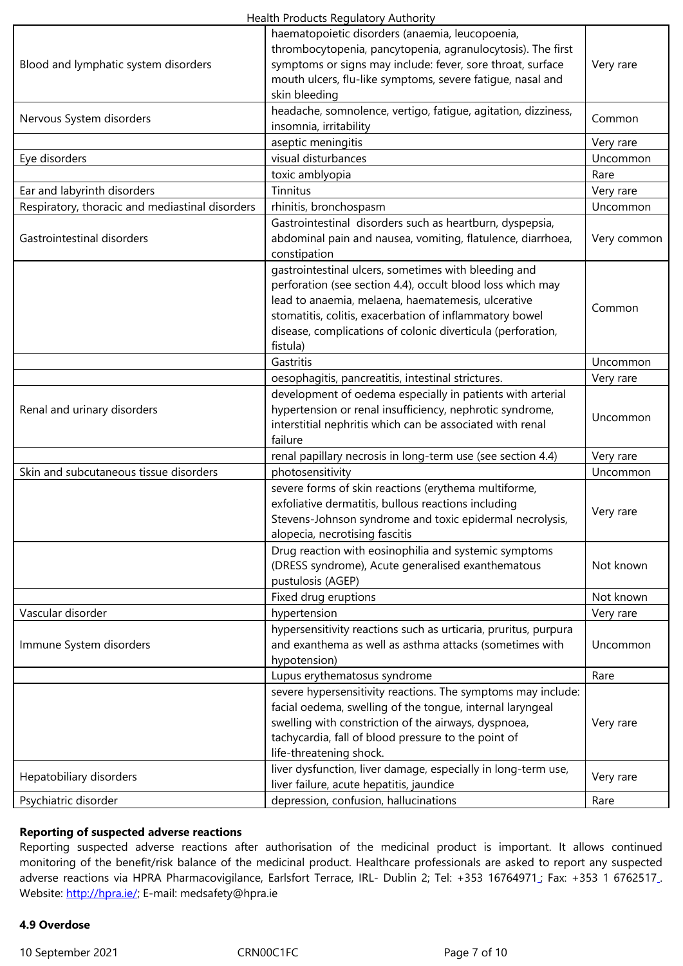| Blood and lymphatic system disorders            | symptoms or signs may include: fever, sore throat, surface                              | Very rare   |
|-------------------------------------------------|-----------------------------------------------------------------------------------------|-------------|
|                                                 | mouth ulcers, flu-like symptoms, severe fatigue, nasal and                              |             |
|                                                 | skin bleeding                                                                           |             |
| Nervous System disorders                        | headache, somnolence, vertigo, fatigue, agitation, dizziness,<br>insomnia, irritability | Common      |
|                                                 | aseptic meningitis                                                                      | Very rare   |
|                                                 | visual disturbances                                                                     | Uncommon    |
| Eye disorders                                   |                                                                                         |             |
|                                                 | toxic amblyopia                                                                         | Rare        |
| Ear and labyrinth disorders                     | Tinnitus                                                                                | Very rare   |
| Respiratory, thoracic and mediastinal disorders | rhinitis, bronchospasm                                                                  | Uncommon    |
|                                                 | Gastrointestinal disorders such as heartburn, dyspepsia,                                |             |
| Gastrointestinal disorders                      | abdominal pain and nausea, vomiting, flatulence, diarrhoea,                             | Very common |
|                                                 | constipation                                                                            |             |
|                                                 | gastrointestinal ulcers, sometimes with bleeding and                                    |             |
|                                                 | perforation (see section 4.4), occult blood loss which may                              |             |
|                                                 | lead to anaemia, melaena, haematemesis, ulcerative                                      | Common      |
|                                                 | stomatitis, colitis, exacerbation of inflammatory bowel                                 |             |
|                                                 | disease, complications of colonic diverticula (perforation,                             |             |
|                                                 | fistula)                                                                                |             |
|                                                 | Gastritis                                                                               | Uncommon    |
|                                                 | oesophagitis, pancreatitis, intestinal strictures.                                      | Very rare   |
|                                                 | development of oedema especially in patients with arterial                              |             |
| Renal and urinary disorders                     | hypertension or renal insufficiency, nephrotic syndrome,                                |             |
|                                                 | interstitial nephritis which can be associated with renal                               | Uncommon    |
|                                                 | failure                                                                                 |             |
|                                                 | renal papillary necrosis in long-term use (see section 4.4)                             | Very rare   |
| Skin and subcutaneous tissue disorders          | photosensitivity                                                                        | Uncommon    |
|                                                 | severe forms of skin reactions (erythema multiforme,                                    |             |
|                                                 | exfoliative dermatitis, bullous reactions including                                     |             |
|                                                 | Stevens-Johnson syndrome and toxic epidermal necrolysis,                                | Very rare   |
|                                                 | alopecia, necrotising fascitis                                                          |             |
|                                                 | Drug reaction with eosinophilia and systemic symptoms                                   |             |
|                                                 | (DRESS syndrome), Acute generalised exanthematous                                       | Not known   |
|                                                 | pustulosis (AGEP)                                                                       |             |
|                                                 | Fixed drug eruptions                                                                    | Not known   |
| Vascular disorder                               | hypertension                                                                            | Very rare   |
|                                                 | hypersensitivity reactions such as urticaria, pruritus, purpura                         |             |
| Immune System disorders                         | and exanthema as well as asthma attacks (sometimes with                                 | Uncommon    |
|                                                 | hypotension)                                                                            |             |
|                                                 | Lupus erythematosus syndrome                                                            | Rare        |
|                                                 | severe hypersensitivity reactions. The symptoms may include:                            |             |
|                                                 | facial oedema, swelling of the tongue, internal laryngeal                               |             |
|                                                 | swelling with constriction of the airways, dyspnoea,                                    | Very rare   |
|                                                 | tachycardia, fall of blood pressure to the point of                                     |             |
|                                                 | life-threatening shock.                                                                 |             |
|                                                 |                                                                                         |             |
| Hepatobiliary disorders                         | liver dysfunction, liver damage, especially in long-term use,                           | Very rare   |
|                                                 | liver failure, acute hepatitis, jaundice                                                |             |
| Psychiatric disorder                            | depression, confusion, hallucinations                                                   | Rare        |

#### **Reporting of suspected adverse reactions**

Reporting suspected adverse reactions after authorisation of the medicinal product is important. It allows continued monitoring of the benefit/risk balance of the medicinal product. Healthcare professionals are asked to report any suspected adverse reactions via HPRA Pharmacovigilance, Earlsfort Terrace, IRL- Dublin 2; Tel: +353 16764971 ; Fax: +353 1 6762517 . Website: http://hpra.ie/; E-mail: medsafety@hpra.ie

## **4.9 Overdose**

10 Septe[mber 2021](http://hpra.ie/) CRN00C1FC CRNOC1FC Page 7 of 10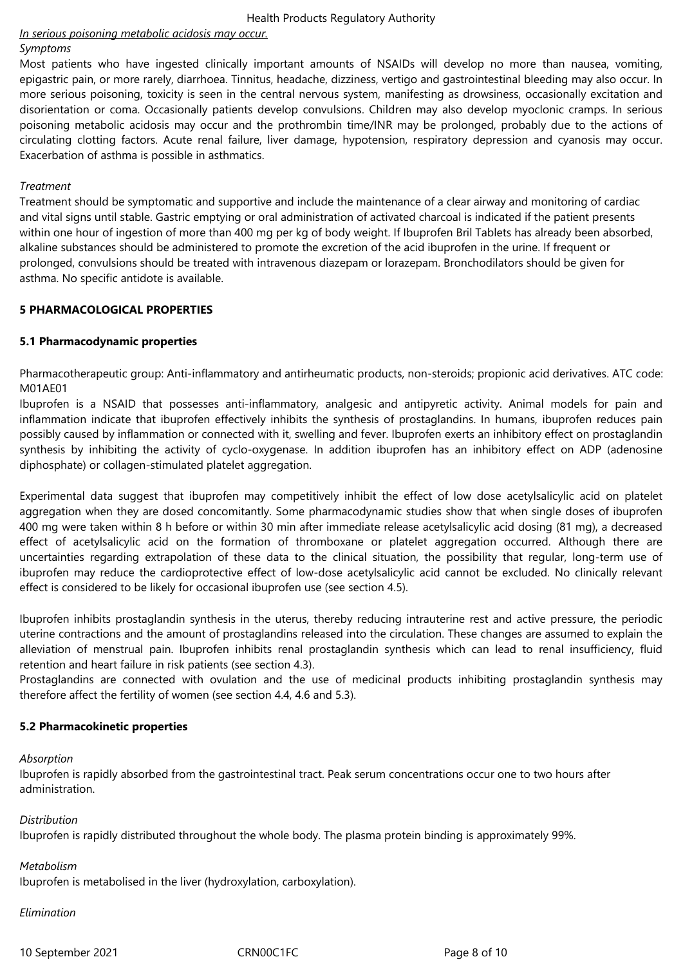# *In serious poisoning metabolic acidosis may occur.*

#### *Symptoms*

Most patients who have ingested clinically important amounts of NSAIDs will develop no more than nausea, vomiting, epigastric pain, or more rarely, diarrhoea. Tinnitus, headache, dizziness, vertigo and gastrointestinal bleeding may also occur. In more serious poisoning, toxicity is seen in the central nervous system, manifesting as drowsiness, occasionally excitation and disorientation or coma. Occasionally patients develop convulsions. Children may also develop myoclonic cramps. In serious poisoning metabolic acidosis may occur and the prothrombin time/INR may be prolonged, probably due to the actions of circulating clotting factors. Acute renal failure, liver damage, hypotension, respiratory depression and cyanosis may occur. Exacerbation of asthma is possible in asthmatics.

#### *Treatment*

Treatment should be symptomatic and supportive and include the maintenance of a clear airway and monitoring of cardiac and vital signs until stable. Gastric emptying or oral administration of activated charcoal is indicated if the patient presents within one hour of ingestion of more than 400 mg per kg of body weight. If Ibuprofen Bril Tablets has already been absorbed, alkaline substances should be administered to promote the excretion of the acid ibuprofen in the urine. If frequent or prolonged, convulsions should be treated with intravenous diazepam or lorazepam. Bronchodilators should be given for asthma. No specific antidote is available.

## **5 PHARMACOLOGICAL PROPERTIES**

## **5.1 Pharmacodynamic properties**

Pharmacotherapeutic group: Anti-inflammatory and antirheumatic products, non-steroids; propionic acid derivatives. ATC code: M01AE01

Ibuprofen is a NSAID that possesses anti-inflammatory, analgesic and antipyretic activity. Animal models for pain and inflammation indicate that ibuprofen effectively inhibits the synthesis of prostaglandins. In humans, ibuprofen reduces pain possibly caused by inflammation or connected with it, swelling and fever. Ibuprofen exerts an inhibitory effect on prostaglandin synthesis by inhibiting the activity of cyclo-oxygenase. In addition ibuprofen has an inhibitory effect on ADP (adenosine diphosphate) or collagen-stimulated platelet aggregation.

Experimental data suggest that ibuprofen may competitively inhibit the effect of low dose acetylsalicylic acid on platelet aggregation when they are dosed concomitantly. Some pharmacodynamic studies show that when single doses of ibuprofen 400 mg were taken within 8 h before or within 30 min after immediate release acetylsalicylic acid dosing (81 mg), a decreased effect of acetylsalicylic acid on the formation of thromboxane or platelet aggregation occurred. Although there are uncertainties regarding extrapolation of these data to the clinical situation, the possibility that regular, long-term use of ibuprofen may reduce the cardioprotective effect of low-dose acetylsalicylic acid cannot be excluded. No clinically relevant effect is considered to be likely for occasional ibuprofen use (see section 4.5).

Ibuprofen inhibits prostaglandin synthesis in the uterus, thereby reducing intrauterine rest and active pressure, the periodic uterine contractions and the amount of prostaglandins released into the circulation. These changes are assumed to explain the alleviation of menstrual pain. Ibuprofen inhibits renal prostaglandin synthesis which can lead to renal insufficiency, fluid retention and heart failure in risk patients (see section 4.3).

Prostaglandins are connected with ovulation and the use of medicinal products inhibiting prostaglandin synthesis may therefore affect the fertility of women (see section 4.4, 4.6 and 5.3).

#### **5.2 Pharmacokinetic properties**

#### *Absorption*

Ibuprofen is rapidly absorbed from the gastrointestinal tract. Peak serum concentrations occur one to two hours after administration.

*Distribution* 

Ibuprofen is rapidly distributed throughout the whole body. The plasma protein binding is approximately 99%.

*Metabolism* 

Ibuprofen is metabolised in the liver (hydroxylation, carboxylation).

*Elimination* 

10 September 2021 CRN00C1FC Page 8 of 10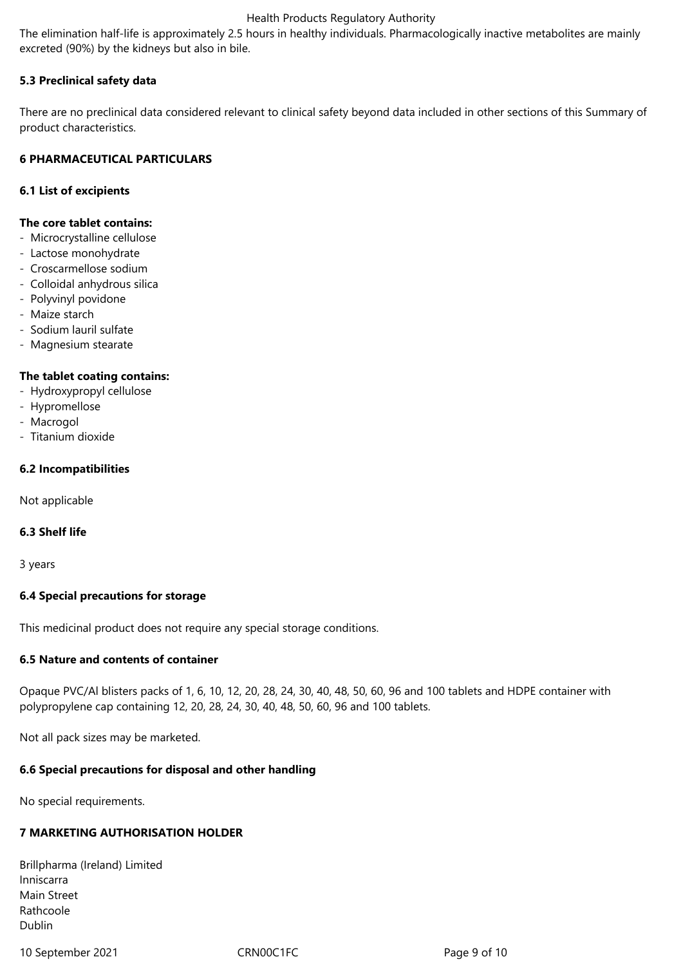The elimination half-life is approximately 2.5 hours in healthy individuals. Pharmacologically inactive metabolites are mainly excreted (90%) by the kidneys but also in bile.

## **5.3 Preclinical safety data**

There are no preclinical data considered relevant to clinical safety beyond data included in other sections of this Summary of product characteristics.

## **6 PHARMACEUTICAL PARTICULARS**

#### **6.1 List of excipients**

#### **The core tablet contains:**

- Microcrystalline cellulose
- Lactose monohydrate
- Croscarmellose sodium
- Colloidal anhydrous silica
- Polyvinyl povidone
- Maize starch
- Sodium lauril sulfate
- Magnesium stearate

#### **The tablet coating contains:**

- Hydroxypropyl cellulose
- Hypromellose
- Macrogol
- Titanium dioxide

#### **6.2 Incompatibilities**

Not applicable

#### **6.3 Shelf life**

3 years

#### **6.4 Special precautions for storage**

This medicinal product does not require any special storage conditions.

#### **6.5 Nature and contents of container**

Opaque PVC/Al blisters packs of 1, 6, 10, 12, 20, 28, 24, 30, 40, 48, 50, 60, 96 and 100 tablets and HDPE container with polypropylene cap containing 12, 20, 28, 24, 30, 40, 48, 50, 60, 96 and 100 tablets.

Not all pack sizes may be marketed.

#### **6.6 Special precautions for disposal and other handling**

No special requirements.

#### **7 MARKETING AUTHORISATION HOLDER**

| Brillpharma (Ireland) Limited |  |
|-------------------------------|--|
| Inniscarra                    |  |
| Main Street                   |  |
| Rathcoole                     |  |
| Dublin                        |  |

10 September 2021 CRN00C1FC Page 9 of 10